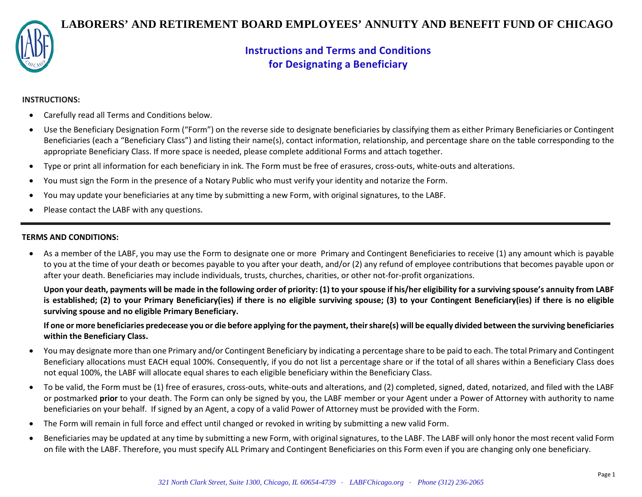

# **LABORERS' AND RETIREMENT BOARD EMPLOYEES' ANNUITY AND BENEFIT FUND OF CHICAGO**

# **Instructions and Terms and Conditions for Designating a Beneficiary**

## **INSTRUCTIONS:**

- Carefully read all Terms and Conditions below.
- Use the Beneficiary Designation Form ("Form") on the reverse side to designate beneficiaries by classifying them as either Primary Beneficiaries or Contingent Beneficiaries (each a "Beneficiary Class") and listing their name(s), contact information, relationship, and percentage share on the table corresponding to the appropriate Beneficiary Class. If more space is needed, please complete additional Forms and attach together.
- Type or print all information for each beneficiary in ink. The Form must be free of erasures, cross-outs, white-outs and alterations.
- You must sign the Form in the presence of a Notary Public who must verify your identity and notarize the Form.
- You may update your beneficiaries at any time by submitting a new Form, with original signatures, to the LABF.
- Please contact the LABF with any questions.

## **TERMS AND CONDITIONS:**

• As a member of the LABF, you may use the Form to designate one or more Primary and Contingent Beneficiaries to receive (1) any amount which is payable to you at the time of your death or becomes payable to you after your death, and/or (2) any refund of employee contributions that becomes payable upon or after your death. Beneficiaries may include individuals, trusts, churches, charities, or other not-for-profit organizations.

**Upon your death, payments will be made in the following order of priority: (1) to your spouse if his/her eligibility for a surviving spouse's annuity from LABF is established; (2) to your Primary Beneficiary(ies) if there is no eligible surviving spouse; (3) to your Contingent Beneficiary(ies) if there is no eligible surviving spouse and no eligible Primary Beneficiary.**

**If one or more beneficiaries predecease you or die before applying for the payment, their share(s) will be equally divided between the surviving beneficiaries within the Beneficiary Class.**

- You may designate more than one Primary and/or Contingent Beneficiary by indicating a percentage share to be paid to each. The total Primary and Contingent Beneficiary allocations must EACH equal 100%. Consequently, if you do not list a percentage share or if the total of all shares within a Beneficiary Class does not equal 100%, the LABF will allocate equal shares to each eligible beneficiary within the Beneficiary Class.
- To be valid, the Form must be (1) free of erasures, cross-outs, white-outs and alterations, and (2) completed, signed, dated, notarized, and filed with the LABF or postmarked **prior** to your death. The Form can only be signed by you, the LABF member or your Agent under a Power of Attorney with authority to name beneficiaries on your behalf. If signed by an Agent, a copy of a valid Power of Attorney must be provided with the Form.
- The Form will remain in full force and effect until changed or revoked in writing by submitting a new valid Form.
- Beneficiaries may be updated at any time by submitting a new Form, with original signatures, to the LABF. The LABF will only honor the most recent valid Form on file with the LABF. Therefore, you must specify ALL Primary and Contingent Beneficiaries on this Form even if you are changing only one beneficiary.